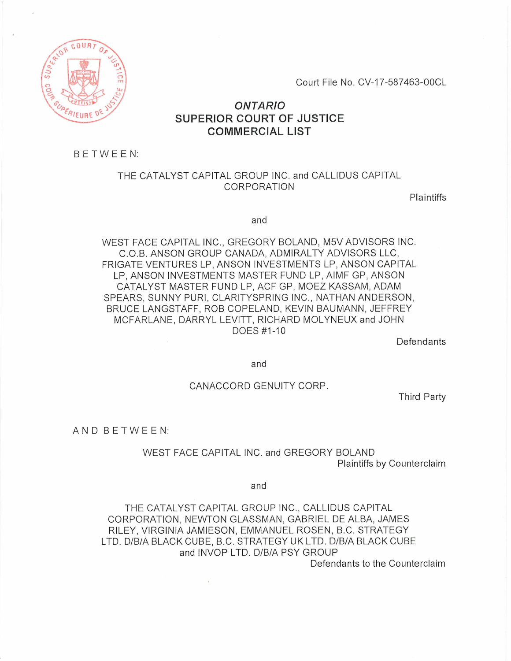

Court File No. CV-17-587463-00CL

# *ONTARIO*  SUPERIOR COURT OF JUSTICE COMMERCIAL LIST

BETWEEN:

## THE CATALYST CAPITAL GROUP INC. and CALLIDUS CAPITAL CORPORATION

Plaintiffs

and

WEST FACE CAPITAL INC., GREGORY BOLAND, M5V ADVISORS INC. C.O.B. ANSON GROUP CANADA, ADMIRALTY ADVISORS LLC, FRIGATE VENTURES LP, ANSON INVESTMENTS LP, ANSON CAPITAL LP, ANSON INVESTMENTS MASTER FUND LP, AIMF GP, ANSON CATALYST MASTER FUND LP, ACF GP, MOEZ KASSAM, ADAM SPEARS, SUNNY PURI, CLARITYSPRING INC., NATHAN ANDERSON, BRUCE LANGSTAFF, ROB COPELAND, KEVIN BAUMANN, JEFFREY MCFARLANE, DARRYL LEVITT, RICHARD MOLYNEUX and JOHN DOES #1-10

Defendants

and

### CANACCORD GENUITY CORP.

Third Party

AND BETWEEN:

WEST FACE CAPITAL INC. and GREGORY BOLAND Plaintiffs by Counterclaim

and

THE CATALYST CAPITAL GROUP INC., CALLIDUS CAPITAL CORPORATION, NEWTON GLASSMAN, GABRIEL DE ALBA, JAMES RILEY, VIRGINIA JAMIESON, EMMANUEL ROSEN, B.C. STRATEGY LTD. D/B/A BLACK CUBE, B.C. STRATEGY UK LTD. D/B/A BLACK CUBE and INVOP LTD. D/B/A PSY GROUP

Defendants to the Counterclaim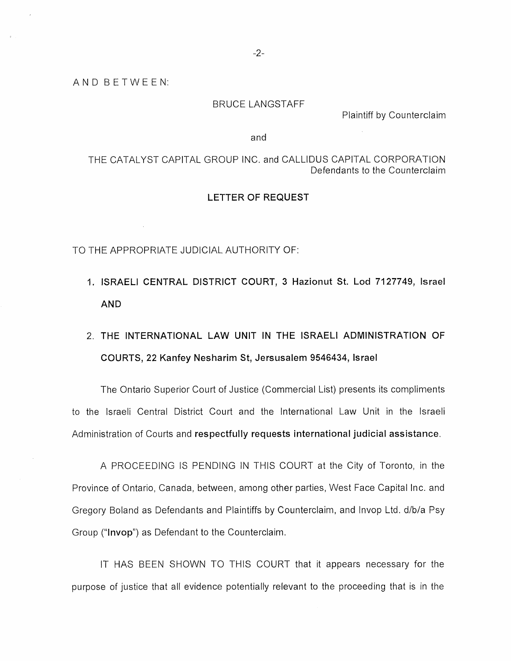#### BRUCE LANGSTAFF

Plaintiff by Counterclaim

and

THE CATALYST CAPITAL GROUP INC. and CALLIDUS CAPITAL CORPORATION Defendants to the Counterclaim

#### **LETTER OF REQUEST**

TO THE APPROPRIATE JUDICIAL AUTHORITY OF:

- **1. ISRAELI CENTRAL DISTRICT COURT, 3 Hazionut St. Lod 7127749, Israel AND**
- 2. **THE INTERNATIONAL LAW UNIT IN THE ISRAELI ADMINISTRATION OF COURTS, 22 Kanfey Nesharim St, Jersusalem 9546434, Israel**

The Ontario Superior Court of Justice (Commercial List) presents its compliments to the Israeli Central District Court and the International Law Unit in the Israeli Administration of Courts and **respectfully requests international judicial assistance.** 

A PROCEEDING IS PENDING IN THIS COURT at the City of Toronto, in the Province of Ontario, Canada, between, among other parties, West Face Capital Inc. and Gregory Boland as Defendants and Plaintiffs by Counterclaim, and Invop Ltd. d/b/a Psy Group **("Invop")** as Defendant to the Counterclaim.

IT HAS BEEN SHOWN TO THIS COURT that it appears necessary for the purpose of justice that all evidence potentially relevant to the proceeding that is in the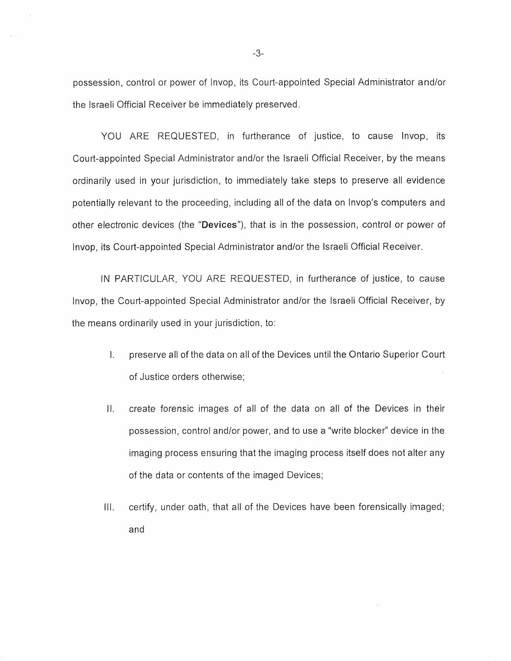possession, control or power of Invop, its Court-appointed Special Administrator and/or the Israeli Official Receiver be immediately preserved.

YOU ARE REQUESTED, in furtherance of justice, to cause Invop, its Court-appointed Special Administrator and/or the Israeli Official Receiver, by the means ordinarily used in your jurisdiction, to immediately take steps to preserve all evidence potentially relevant to the proceeding, including all of the data on Invop's computers and other electronic devices (the **"Devices"),** that is in the possession, control or power of Invop, its Court-appointed Special Administrator and/or the Israeli Official Receiver.

IN PARTICULAR, YOU ARE REQUESTED, in furtherance of justice, to cause Invop, the Court-appointed Special Administrator and/or the Israeli Official Receiver, by the means ordinarily used in your jurisdiction, to:

- I. preserve all of the data on all of the Devices until the Ontario Superior Court of Justice orders otherwise;
- II. create forensic images of all of the data on all of the Devices in their possession, control and/or power, and to use a "write blocker" device in the imaging process ensuring that the imaging process itself does not alter any of the data or contents of the imaged Devices;
- III. certify, under oath, that all of the Devices have been forensically imaged; and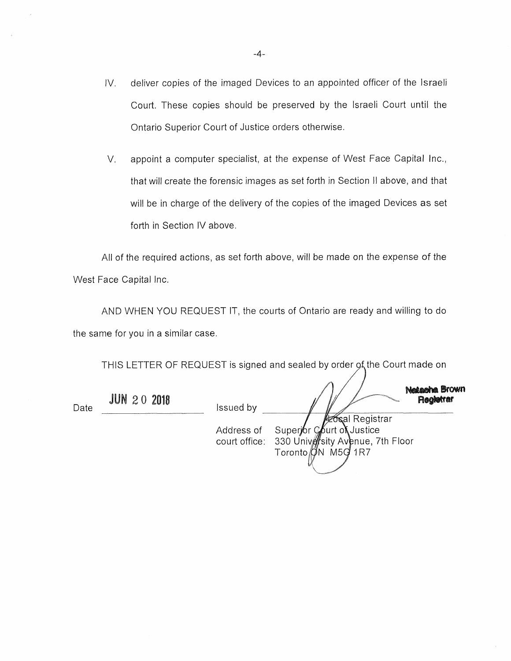- IV. deliver copies of the imaged Devices to an appointed officer of the Israeli Court. These copies should be preserved by the Israeli Court until the Ontario Superior Court of Justice orders otherwise.
- V. appoint a computer specialist, at the expense of West Face Capital Inc., that will create the forensic images as set forth in Section II above, and that will be in charge of the delivery of the copies of the imaged Devices as set forth in Section IV above.

All of the required actions, as set forth above, will be made on the expense of the West Face Capital Inc.

AND WHEN YOU REQUEST IT, the courts of Ontario are ready and willing to do the same for you in a similar case.

THIS LETTER OF REQUEST is signed and sealed by order of the Court made on

| Date | <b>JUN 20 2018</b> | <b>Issued by</b> | <b>Netacha Brown</b><br><b>Registrar</b>                                                                                     |
|------|--------------------|------------------|------------------------------------------------------------------------------------------------------------------------------|
|      |                    | Address of       | <b>Azocal Registrar</b><br>Superjor Court of Justice<br>court office: 330 University Avenue, 7th Floor<br>Toronto ON M5G 1R7 |